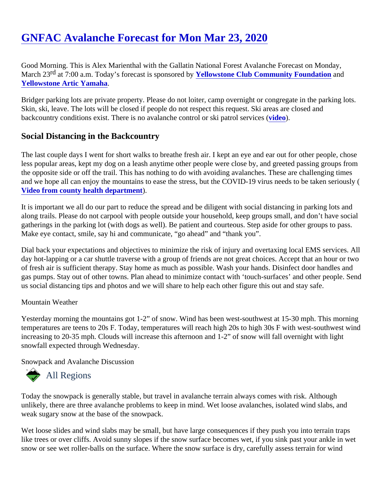Good Morning. This is Alex Marienthal with the Gallatin National Forest Avalanche Forecast on Monday, March 23<sup>d</sup> at 7:00 a.m. Today's forecast is sponsored blowstone Club Community Foundationand [Yellowstone Artic Yamaha.](https://yellowstonearcticyamaha.com/)

Bridger parking lots are private property. Please do not loiter, camp overnight or congregate in the parking lot Skin, ski, leave. The lots will be closed if people do not respect this request. Ski areas are closed and backcountry conditions exist. There is no avalanche control or ski patrol se[rvices](https://youtu.be/EUtgi0g1l9g).

# Social Distancing in the Backcountry

The last couple days I went for short walks to breathe fresh air. I kept an eye and ear out for other people, cho less popular areas, kept my dog on a leash anytime other people were close by, and greeted passing groups the opposite side or off the trail. This has nothing to do with avoiding avalanches. These are challenging time and we hope all can enjoy the mountains to ease the stress, but the COVID-19 virus needs to be taken seriou Video from county health department.

It is important we all do our part to reduce the spread and be diligent with social distancing in parking lots and along trails. Please do not carpool with people outside your household, keep groups small, and don't have so gatherings in the parking lot (with dogs as well). Be patient and courteous. Step aside for other groups to pas Make eye contact, smile, say hi and communicate, "go ahead" and "thank you".

Dial back your expectations and objectives to minimize the risk of injury and overtaxing local EMS services. A day hot-lapping or a car shuttle traverse with a group of friends are not great choices. Accept that an hour or of fresh air is sufficient therapy. Stay home as much as possible. Wash your hands. Disinfect door handles ar gas pumps. Stay out of other towns. Plan ahead to minimize contact with 'touch-surfaces' and other people. Send us social distancing tips and photos and we will share to help each other figure this out and stay safe.

### Mountain Weather

Yesterday morning the mountains got 1-2" of snow. Wind has been west-southwest at 15-30 mph. This morni temperatures are teens to 20s F. Today, temperatures will reach high 20s to high 30s F with west-southwest increasing to 20-35 mph. Clouds will increase this afternoon and 1-2" of snow will fall overnight with light snowfall expected through Wednesday.

Snowpack and Avalanche Discussion

# All Regions

Today the snowpack is generally stable, but travel in avalanche terrain always comes with risk. Although unlikely, there are three avalanche problems to keep in mind. Wet loose avalanches, isolated wind slabs, and weak sugary snow at the base of the snowpack.

Wet loose slides and wind slabs may be small, but have large consequences if they push you into terrain trap like trees or over cliffs. Avoid sunny slopes if the snow surface becomes wet, if you sink past your ankle in we snow or see wet roller-balls on the surface. Where the snow surface is dry, carefully assess terrain for wind